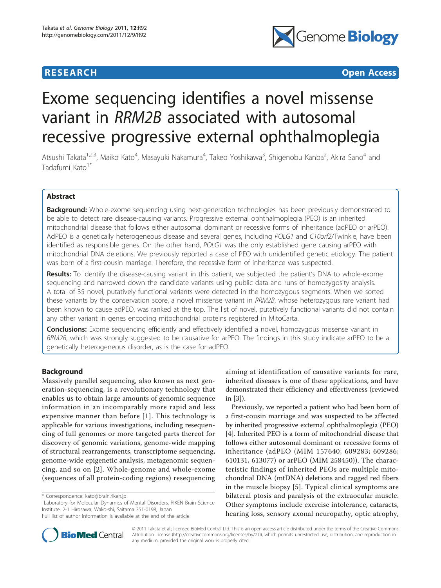

**RESEARCH CONSTRUCTER CONSTRUCTER OPEN ACCESS** 

# Exome sequencing identifies a novel missense variant in RRM2B associated with autosomal recessive progressive external ophthalmoplegia

Atsushi Takata<sup>1,2,3</sup>, Maiko Kato<sup>4</sup>, Masayuki Nakamura<sup>4</sup>, Takeo Yoshikawa<sup>3</sup>, Shigenobu Kanba<sup>2</sup>, Akira Sano<sup>4</sup> and Tadafumi Kato<sup>1\*</sup>

# Abstract

**Background:** Whole-exome sequencing using next-generation technologies has been previously demonstrated to be able to detect rare disease-causing variants. Progressive external ophthalmoplegia (PEO) is an inherited mitochondrial disease that follows either autosomal dominant or recessive forms of inheritance (adPEO or arPEO). AdPEO is a genetically heterogeneous disease and several genes, including POLG1 and C10orf2/Twinkle, have been identified as responsible genes. On the other hand, POLG1 was the only established gene causing arPEO with mitochondrial DNA deletions. We previously reported a case of PEO with unidentified genetic etiology. The patient was born of a first-cousin marriage. Therefore, the recessive form of inheritance was suspected.

Results: To identify the disease-causing variant in this patient, we subjected the patient's DNA to whole-exome sequencing and narrowed down the candidate variants using public data and runs of homozygosity analysis. A total of 35 novel, putatively functional variants were detected in the homozygous segments. When we sorted these variants by the conservation score, a novel missense variant in RRM2B, whose heterozygous rare variant had been known to cause adPEO, was ranked at the top. The list of novel, putatively functional variants did not contain any other variant in genes encoding mitochondrial proteins registered in MitoCarta.

Conclusions: Exome sequencing efficiently and effectively identified a novel, homozygous missense variant in RRM2B, which was strongly suggested to be causative for arPEO. The findings in this study indicate arPEO to be a genetically heterogeneous disorder, as is the case for adPEO.

# Background

Massively parallel sequencing, also known as next generation-sequencing, is a revolutionary technology that enables us to obtain large amounts of genomic sequence information in an incomparably more rapid and less expensive manner than before [[1](#page-5-0)]. This technology is applicable for various investigations, including resequencing of full genomes or more targeted parts thereof for discovery of genomic variations, genome-wide mapping of structural rearrangements, transcriptome sequencing, genome-wide epigenetic analysis, metagenomic sequencing, and so on [[2](#page-5-0)]. Whole-genome and whole-exome (sequences of all protein-coding regions) resequencing

<sup>1</sup> Laboratory for Molecular Dynamics of Mental Disorders, RIKEN Brain Science Institute, 2-1 Hirosawa, Wako-shi, Saitama 351-0198, Japan

aiming at identification of causative variants for rare, inherited diseases is one of these applications, and have demonstrated their efficiency and effectiveness (reviewed in [[3](#page-5-0)]).

Previously, we reported a patient who had been born of a first-cousin marriage and was suspected to be affected by inherited progressive external ophthalmoplegia (PEO) [[4\]](#page-5-0). Inherited PEO is a form of mitochondrial disease that follows either autosomal dominant or recessive forms of inheritance (adPEO (MIM 157640; 609283; 609286; 610131, 613077) or arPEO (MIM 258450)). The characteristic findings of inherited PEOs are multiple mitochondrial DNA (mtDNA) deletions and ragged red fibers in the muscle biopsy [\[5\]](#page-5-0). Typical clinical symptoms are bilateral ptosis and paralysis of the extraocular muscle. Other symptoms include exercise intolerance, cataracts, hearing loss, sensory axonal neuropathy, optic atrophy,



© 2011 Takata et al.; licensee BioMed Central Ltd. This is an open access article distributed under the terms of the Creative Commons Attribution License [\(http://creativecommons.org/licenses/by/2.0](http://creativecommons.org/licenses/by/2.0)), which permits unrestricted use, distribution, and reproduction in any medium, provided the original work is properly cited.

<sup>\*</sup> Correspondence: [kato@brain.riken.jp](mailto:kato@brain.riken.jp)

Full list of author information is available at the end of the article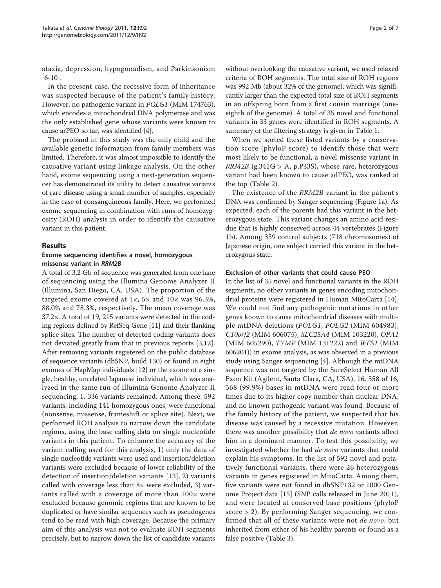ataxia, depression, hypogonadism, and Parkinsonism [[6-10](#page-5-0)].

In the present case, the recessive form of inheritance was suspected because of the patient's family history. However, no pathogenic variant in POLG1 (MIM 174763), which encodes a mitochondrial DNA polymerase and was the only established gene whose variants were known to cause arPEO so far, was identified [\[4\]](#page-5-0).

The proband in this study was the only child and the available genetic information from family members was limited. Therefore, it was almost impossible to identify the causative variant using linkage analysis. On the other hand, exome sequencing using a next-generation sequencer has demonstrated its utility to detect causative variants of rare disease using a small number of samples, especially in the case of consanguineous family. Here, we performed exome sequencing in combination with runs of homozygosity (ROH) analysis in order to identify the causative variant in this patient.

#### Results

#### Exome sequencing identifies a novel, homozygous missense variant in RRM2B

A total of 3.2 Gb of sequence was generated from one lane of sequencing using the Illumina Genome Analyzer II (Illumina, San Diego, CA, USA). The proportion of the targeted exome covered at 1×, 5× and 10× was 96.3%, 88.0% and 78.3%, respectively. The mean coverage was 37.2×. A total of 19, 215 variants were detected in the coding regions defined by RefSeq Gene [\[11\]](#page-5-0) and their flanking splice sites. The number of detected coding variants does not deviated greatly from that in previous reports [\[3,12](#page-5-0)]. After removing variants registered on the public database of sequence variants (dbSNP, build 130) or found in eight exomes of HapMap individuals [[12](#page-5-0)] or the exome of a single, healthy, unrelated Japanese individual, which was analyzed in the same run of Illumina Genome Analyzer II sequencing, 1, 336 variants remained. Among these, 592 variants, including 141 homozygous ones, were functional (nonsense, missense, frameshift or splice site). Next, we performed ROH analysis to narrow down the candidate regions, using the base calling data on single nucleotide variants in this patient. To enhance the accuracy of the variant calling used for this analysis, 1) only the data of single nucleotide variants were used and insertion/deletion variants were excluded because of lower reliability of the detection of insertion/deletion variants [[13\]](#page-5-0), 2) variants called with coverage less than 8× were excluded, 3) variants called with a coverage of more than  $100 \times$  were excluded because genomic regions that are known to be duplicated or have similar sequences such as pseudogenes tend to be read with high coverage. Because the primary aim of this analysis was not to evaluate ROH segments precisely, but to narrow down the list of candidate variants in an offspring born from a first cousin marriage (oneeighth of the genome). A total of 35 novel and functional variants in 33 genes were identified in ROH segments. A summary of the filtering strategy is given in Table [1](#page-2-0). When we sorted these listed variants by a conservation score (phyloP score) to identify those that were most likely to be functional, a novel missense variant in

 $RRM2B$  (g.341G > A, p.P33S), whose rare, heterozygous variant had been known to cause adPEO, was ranked at the top (Table [2\)](#page-2-0).

The existence of the RRM2B variant in the patient's DNA was confirmed by Sanger sequencing (Figure [1a\)](#page-3-0). As expected, each of the parents had this variant in the heterozygous state. This variant changes an amino acid residue that is highly conserved across 44 vertebrates (Figure [1b\)](#page-3-0). Among 359 control subjects (718 chromosomes) of Japanese origin, one subject carried this variant in the heterozygous state.

#### Exclusion of other variants that could cause PEO

In the list of 35 novel and functional variants in the ROH segments, no other variants in genes encoding mitochondrial proteins were registered in Human MitoCarta [\[14](#page-5-0)]. We could not find any pathogenic mutations in other genes known to cause mitochondrial diseases with multiple mtDNA deletions (POLG1, POLG2 (MIM 604983), C10orf2 (MIM 606075), SLC25A4 (MIM 103220), OPA1 (MIM 605290), TYMP (MIM 131222) and WFS1 (MIM 606201)) in exome analysis, as was observed in a previous study using Sanger sequencing [[4\]](#page-5-0). Although the mtDNA sequence was not targeted by the SureSelect Human All Exon Kit (Agilent, Santa Clara, CA, USA), 16, 558 of 16, 568 (99.9%) bases in mtDNA were read four or more times due to its higher copy number than nuclear DNA, and no known pathogenic variant was found. Because of the family history of the patient, we suspected that his disease was caused by a recessive mutation. However, there was another possibility that *de novo* variants affect him in a dominant manner. To test this possibility, we investigated whether he had de novo variants that could explain his symptoms. In the list of 592 novel and putatively functional variants, there were 26 heterozygous variants in genes registered in MitoCarta. Among them, five variants were not found in dbSNP132 or 1000 Genome Project data [[15\]](#page-5-0) (SNP calls released in June 2011), and were located at conserved base positions (phyloP score > 2). By performing Sanger sequencing, we confirmed that all of these variants were not *de novo*, but inherited from either of his healthy parents or found as a false positive (Table [3\)](#page-3-0).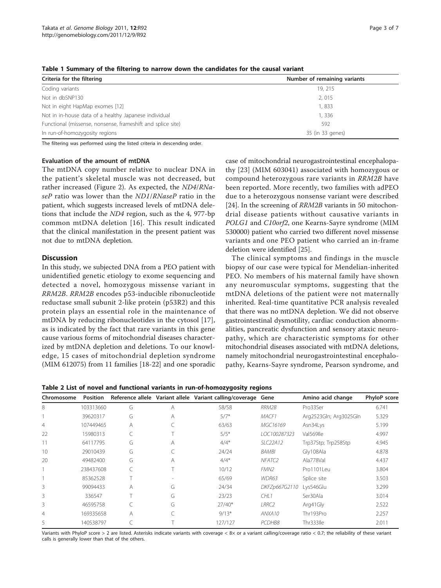| Criteria for the filtering                                  | Number of remaining variants |
|-------------------------------------------------------------|------------------------------|
| Coding variants                                             | 19, 215                      |
| Not in dbSNP130                                             | 2,015                        |
| Not in eight HapMap exomes [12]                             | 1,833                        |
| Not in in-house data of a healthy Japanese individual       | 1,336                        |
| Functional (missense, nonsense, frameshift and splice site) | 592                          |
| In run-of-homozygosity regions                              | 35 (in 33 genes)             |

<span id="page-2-0"></span>Table 1 Summary of the filtering to narrow down the candidates for the causal variant

The filtering was performed using the listed criteria in descending order.

#### Evaluation of the amount of mtDNA

The mtDNA copy number relative to nuclear DNA in the patient's skeletal muscle was not decreased, but rather increased (Figure [2\)](#page-4-0). As expected, the ND4/RNaseP ratio was lower than the ND1/RNaseP ratio in the patient, which suggests increased levels of mtDNA deletions that include the ND4 region, such as the 4, 977-bp common mtDNA deletion [[16\]](#page-5-0). This result indicated that the clinical manifestation in the present patient was not due to mtDNA depletion.

#### **Discussion**

In this study, we subjected DNA from a PEO patient with unidentified genetic etiology to exome sequencing and detected a novel, homozygous missense variant in RRM2B. RRM2B encodes p53-inducible ribonucleotide reductase small subunit 2-like protein (p53R2) and this protein plays an essential role in the maintenance of mtDNA by reducing ribonucleotides in the cytosol [[17](#page-6-0)], as is indicated by the fact that rare variants in this gene cause various forms of mitochondrial diseases characterized by mtDNA depletion and deletions. To our knowledge, 15 cases of mitochondrial depletion syndrome (MIM 612075) from 11 families [[18-22\]](#page-6-0) and one sporadic

case of mitochondrial neurogastrointestinal encephalopathy [\[23\]](#page-6-0) (MIM 603041) associated with homozygous or compound heterozygous rare variants in RRM2B have been reported. More recently, two families with adPEO due to a heterozygous nonsense variant were described [[24\]](#page-6-0). In the screening of *RRM2B* variants in 50 mitochondrial disease patients without causative variants in POLG1 and C10orf2, one Kearns-Sayre syndrome (MIM 530000) patient who carried two different novel missense variants and one PEO patient who carried an in-frame deletion were identified [\[25\]](#page-6-0).

The clinical symptoms and findings in the muscle biopsy of our case were typical for Mendelian-inherited PEO. No members of his maternal family have shown any neuromuscular symptoms, suggesting that the mtDNA deletions of the patient were not maternally inherited. Real-time quantitative PCR analysis revealed that there was no mtDNA depletion. We did not observe gastrointestinal dysmotility, cardiac conduction abnormalities, pancreatic dysfunction and sensory ataxic neuropathy, which are characteristic symptoms for other mitochondrial diseases associated with mtDNA deletions, namely mitochondrial neurogastrointestinal encephalopathy, Kearns-Sayre syndrome, Pearson syndrome, and

Table 2 List of novel and functional variants in run-of-homozygosity regions

| Chromosome     | <b>Position</b> |   |   | Reference allele Variant allele Variant calling/coverage Gene |                    | Amino acid change      | PhyloP score |  |
|----------------|-----------------|---|---|---------------------------------------------------------------|--------------------|------------------------|--------------|--|
| 8              | 103313660       | G | A | 58/58                                                         | RRM2B              | Pro33Ser               | 6.741        |  |
|                | 39620317        | G | A | MACF1<br>$5/7*$                                               |                    | Arg2523Gln; Arg3025Gln | 5.329        |  |
| $\overline{4}$ | 107449465       | A |   | MGC16169<br>63/63<br>Asn34Lys                                 |                    |                        | 5.199        |  |
| 22             | 15980313        |   |   | $5/5*$                                                        | LOC100287323       | Val569lle              | 4.997        |  |
|                | 64117795        | G | А | $4/4*$                                                        | SLC22A12           | Trp37Stp; Trp258Stp    | 4.945        |  |
| 10             | 29010439        | G |   | 24/24                                                         | BAMBI              | Gly108Ala              | 4.878        |  |
| 20             | 49482400        | G | A | $4/4*$                                                        | NFATC <sub>2</sub> | Ala778Val              | 4.437        |  |
|                | 238437608       |   |   | 10/12                                                         | FMN <sub>2</sub>   | Pro1101I eu            | 3.804        |  |
|                | 85362528        |   |   | 65/69                                                         | WDR63              | Splice site            | 3.503        |  |
| 3              | 99094433        | А | G | 24/34                                                         | DKFZp667G2110      | Lys546Glu              | 3.299        |  |
| 3              | 336547          |   | G | 23/23                                                         | CHL <sub>1</sub>   | Ser30Ala               | 3.014        |  |
| 3              | 46595758        |   | G | $27/40*$                                                      | LRRC2              | Arg41Gly               | 2.522        |  |
| 4              | 169335658       | А |   | $9/13*$                                                       | ANXA10             | Thr193Pro              | 2.257        |  |
| 5              | 140538797       |   |   | 127/127                                                       | PCDHB8             | Thr333lle              | 2.011        |  |

Variants with PhyloP score > 2 are listed. Asterisks indicate variants with coverage < 8× or a variant calling/coverage ratio < 0.7; the reliability of these variant calls is generally lower than that of the others.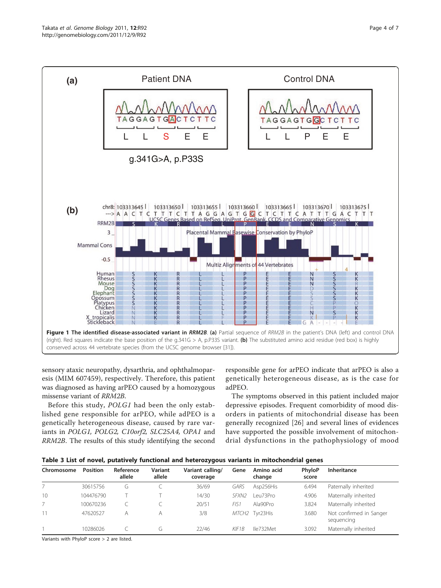<span id="page-3-0"></span>

sensory ataxic neuropathy, dysarthria, and ophthalmoparesis (MIM 607459), respectively. Therefore, this patient was diagnosed as having arPEO caused by a homozygous missense variant of RRM2B.

Before this study, POLG1 had been the only established gene responsible for arPEO, while adPEO is a genetically heterogeneous disease, caused by rare variants in POLG1, POLG2, C10orf2, SLC25A4, OPA1 and RRM2B. The results of this study identifying the second

responsible gene for arPEO indicate that arPEO is also a genetically heterogeneous disease, as is the case for adPEO.

The symptoms observed in this patient included major depressive episodes. Frequent comorbidity of mood disorders in patients of mitochondrial disease has been generally recognized [\[26](#page-6-0)] and several lines of evidences have supported the possible involvement of mitochondrial dysfunctions in the pathophysiology of mood

|            |                 |                     |                   |                              |                   |                      | -               |                                       |
|------------|-----------------|---------------------|-------------------|------------------------------|-------------------|----------------------|-----------------|---------------------------------------|
| Chromosome | <b>Position</b> | Reference<br>allele | Variant<br>allele | Variant calling/<br>coverage | Gene              | Amino acid<br>change | PhyloP<br>score | Inheritance                           |
|            | 30615756        | G                   |                   | 36/69                        | GARS              | Asp256His            | 6.494           | Paternally inherited                  |
| 10         | 104476790       |                     |                   | 14/30                        | SFXN <sub>2</sub> | eu73Pro              | 4.906           | Maternally inherited                  |
|            | 100670236       |                     |                   | 20/51                        | FIS <sub>1</sub>  | Ala90Pro             | 3.824           | Maternally inherited                  |
| 11         | 47620527        | A                   | A                 | 3/8                          |                   | MTCH2 Tyr23His       | 3.680           | Not confirmed in Sanger<br>sequencing |
|            | 10286026        |                     | (٦                | 22/46                        | KIF1B             | lle732Met            | 3.092           | Maternally inherited                  |

Variants with PhyloP score > 2 are listed.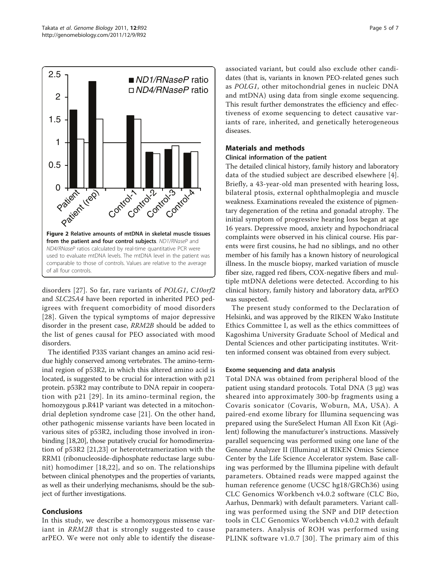<span id="page-4-0"></span>

disorders [\[27](#page-6-0)]. So far, rare variants of POLG1, C10orf2 and SLC25A4 have been reported in inherited PEO pedigrees with frequent comorbidity of mood disorders [[28](#page-6-0)]. Given the typical symptoms of major depressive disorder in the present case, RRM2B should be added to the list of genes causal for PEO associated with mood disorders.

The identified P33S variant changes an amino acid residue highly conserved among vertebrates. The amino-terminal region of p53R2, in which this altered amino acid is located, is suggested to be crucial for interaction with p21 protein. p53R2 may contribute to DNA repair in cooperation with p21 [[29](#page-6-0)]. In its amino-terminal region, the homozygous p.R41P variant was detected in a mitochondrial depletion syndrome case [[21](#page-6-0)]. On the other hand, other pathogenic missense variants have been located in various sites of p53R2, including those involved in ironbinding [[18,20\]](#page-6-0), those putatively crucial for homodimerization of p53R2 [[21,23](#page-6-0)] or heterotetramerization with the RRM1 (ribonucleoside-diphosphate reductase large subunit) homodimer [[18](#page-6-0),[22](#page-6-0)], and so on. The relationships between clinical phenotypes and the properties of variants, as well as their underlying mechanisms, should be the subject of further investigations.

# Conclusions

In this study, we describe a homozygous missense variant in RRM2B that is strongly suggested to cause arPEO. We were not only able to identify the diseaseassociated variant, but could also exclude other candidates (that is, variants in known PEO-related genes such as POLG1, other mitochondrial genes in nucleic DNA and mtDNA) using data from single exome sequencing. This result further demonstrates the efficiency and effectiveness of exome sequencing to detect causative variants of rare, inherited, and genetically heterogeneous diseases.

# Materials and methods

### Clinical information of the patient

The detailed clinical history, family history and laboratory data of the studied subject are described elsewhere [[4](#page-5-0)]. Briefly, a 43-year-old man presented with hearing loss, bilateral ptosis, external ophthalmoplegia and muscle weakness. Examinations revealed the existence of pigmentary degeneration of the retina and gonadal atrophy. The initial symptom of progressive hearing loss began at age 16 years. Depressive mood, anxiety and hypochondriacal complaints were observed in his clinical course. His parents were first cousins, he had no siblings, and no other member of his family has a known history of neurological illness. In the muscle biopsy, marked variation of muscle fiber size, ragged red fibers, COX-negative fibers and multiple mtDNA deletions were detected. According to his clinical history, family history and laboratory data, arPEO was suspected.

The present study conformed to the Declaration of Helsinki, and was approved by the RIKEN Wako Institute Ethics Committee I, as well as the ethics committees of Kagoshima University Graduate School of Medical and Dental Sciences and other participating institutes. Written informed consent was obtained from every subject.

### Exome sequencing and data analysis

Total DNA was obtained from peripheral blood of the patient using standard protocols. Total DNA (3 μg) was sheared into approximately 300-bp fragments using a Covaris sonicator (Covaris, Woburn, MA, USA). A paired-end exome library for Illumina sequencing was prepared using the SureSelect Human All Exon Kit (Agilent) following the manufacturer's instructions. Massively parallel sequencing was performed using one lane of the Genome Analyzer II (Illumina) at RIKEN Omics Science Center by the Life Science Accelerator system. Base calling was performed by the Illumina pipeline with default parameters. Obtained reads were mapped against the human reference genome (UCSC hg18/GRCh36) using CLC Genomics Workbench v4.0.2 software (CLC Bio, Aarhus, Denmark) with default parameters. Variant calling was performed using the SNP and DIP detection tools in CLC Genomics Workbench v4.0.2 with default parameters. Analysis of ROH was performed using PLINK software v1.0.7 [[30\]](#page-6-0). The primary aim of this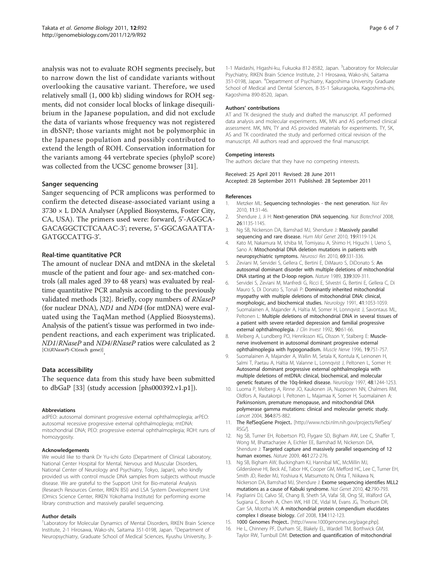<span id="page-5-0"></span>analysis was not to evaluate ROH segments precisely, but to narrow down the list of candidate variants without overlooking the causative variant. Therefore, we used relatively small (1, 000 kb) sliding windows for ROH segments, did not consider local blocks of linkage disequilibrium in the Japanese population, and did not exclude the data of variants whose frequency was not registered in dbSNP; those variants might not be polymorphic in the Japanese population and possibly contributed to extend the length of ROH. Conservation information for the variants among 44 vertebrate species (phyloP score) was collected from the UCSC genome browser [\[31\]](#page-6-0).

#### Sanger sequencing

Sanger sequencing of PCR amplicons was performed to confirm the detected disease-associated variant using a 3730 × L DNA Analyser (Applied Biosystems, Foster City, CA, USA). The primers used were: forward, 5'-AGGCA-GACAGGCTCTCAAAC-3'; reverse, 5'-GGCAGAATTA-GATGCCATTG-3'.

#### Real-time quantitative PCR

The amount of nuclear DNA and mtDNA in the skeletal muscle of the patient and four age- and sex-matched controls (all males aged 39 to 48 years) was evaluated by realtime quantitative PCR analysis according to the previously validated methods [[32](#page-6-0)]. Briefly, copy numbers of RNaseP (for nuclear DNA), ND1 and ND4 (for mtDNA) were evaluated using the TaqMan method (Applied Biosystems). Analysis of the patient's tissue was performed in two independent reactions, and each experiment was triplicated. ND1/RNaseP and ND4/RNaseP ratios were calculated as 2 [Ct(RNaseP)-Ct(each gene)]

#### Data accessibility

The sequence data from this study have been submitted to dbGaP [[33\]](#page-6-0) (study accession [phs000392.v1.p1]).

#### Abbreviations

adPEO: autosomal dominant progressive external ophthalmoplegia; arPEO: autosomal recessive progressive external ophthalmoplegia; mtDNA: mitochondrial DNA; PEO: progressive external ophthalmoplegia; ROH: runs of homozygosity.

#### Acknowledgements

We would like to thank Dr Yu-ichi Goto (Department of Clinical Laboratory, National Center Hospital for Mental, Nervous and Muscular Disorders, National Center of Neurology and Psychiatry, Tokyo, Japan), who kindly provided us with control muscle DNA samples from subjects without muscle disease. We are grateful to the Support Unit for Bio-material Analysis (Research Resources Center, RIKEN BSI) and LSA System Development Unit (Omics Science Center, RIKEN Yokohama Institute) for performing exome library construction and massively parallel sequencing.

#### Author details

<sup>1</sup> Laboratory for Molecular Dynamics of Mental Disorders, RIKEN Brain Science Institute, 2-1 Hirosawa, Wako-shi, Saitama 351-0198, Japan. <sup>2</sup>Department of Neuropsychiatry, Graduate School of Medical Sciences, Kyushu University, 3-

1-1 Maidashi, Higashi-ku, Fukuoka 812-8582, Japan. <sup>3</sup>Laboratory for Molecular Psychiatry, RIKEN Brain Science Institute, 2-1 Hirosawa, Wako-shi, Saitama 351-0198, Japan. <sup>4</sup> Department of Psychiatry, Kagoshima University Graduate School of Medical and Dental Sciences, 8-35-1 Sakuragaoka, Kagoshima-shi, Kagoshima 890-8520, Japan.

#### Authors' contributions

AT and TK designed the study and drafted the manuscript. AT performed data analysis and molecular experiments. MK, MN and AS performed clinical assessment. MK, MN, TY and AS provided materials for experiments. TY, SK, AS and TK coordinated the study and performed critical revision of the manuscript. All authors read and approved the final manuscript.

#### Competing interests

The authors declare that they have no competing interests.

Received: 25 April 2011 Revised: 28 June 2011 Accepted: 28 September 2011 Published: 28 September 2011

#### References

- Metzker ML: Sequencing technologies the next generation. Nat Rev 2010, 11:31-46.
- 2. Shendure J, Ji H: [Next-generation DNA sequencing.](http://www.ncbi.nlm.nih.gov/pubmed/18846087?dopt=Abstract) Nat Biotechnol 2008, 26:1135-1145.
- 3. Ng SB, Nickerson DA, Bamshad MJ, Shendure J: [Massively parallel](http://www.ncbi.nlm.nih.gov/pubmed/20846941?dopt=Abstract) [sequencing and rare disease.](http://www.ncbi.nlm.nih.gov/pubmed/20846941?dopt=Abstract) Hum Mol Genet 2010, 19:R119-124.
- 4. Kato M, Nakamura M, Ichiba M, Tomiyasu A, Shimo H, Higuchi I, Ueno S, Sano A: [Mitochondrial DNA deletion mutations in patients with](http://www.ncbi.nlm.nih.gov/pubmed/21185889?dopt=Abstract) [neuropsychiatric symptoms.](http://www.ncbi.nlm.nih.gov/pubmed/21185889?dopt=Abstract) Neurosci Res 2010, 69:331-336.
- 5. Zeviani M, Servidei S, Gellera C, Bertini E, DiMauro S, DiDonato S: [An](http://www.ncbi.nlm.nih.gov/pubmed/2725645?dopt=Abstract) [autosomal dominant disorder with multiple deletions of mitochondrial](http://www.ncbi.nlm.nih.gov/pubmed/2725645?dopt=Abstract) [DNA starting at the D-loop region.](http://www.ncbi.nlm.nih.gov/pubmed/2725645?dopt=Abstract) Nature 1989, 339:309-311.
- 6. Servidei S, Zeviani M, Manfredi G, Ricci E, Silvestri G, Bertini E, Gellera C, Di Mauro S, Di Donato S, Tonali P: [Dominantly inherited mitochondrial](http://www.ncbi.nlm.nih.gov/pubmed/2067633?dopt=Abstract) [myopathy with multiple deletions of mitochondrial DNA: clinical,](http://www.ncbi.nlm.nih.gov/pubmed/2067633?dopt=Abstract) [morphologic, and biochemical studies.](http://www.ncbi.nlm.nih.gov/pubmed/2067633?dopt=Abstract) Neurology 1991, 41:1053-1059.
- 7. Suomalainen A, Majander A, Haltia M, Somer H, Lonnqvist J, Savontaus ML, Peltonen L: [Multiple deletions of mitochondrial DNA in several tissues of](http://www.ncbi.nlm.nih.gov/pubmed/1634620?dopt=Abstract) [a patient with severe retarded depression and familial progressive](http://www.ncbi.nlm.nih.gov/pubmed/1634620?dopt=Abstract) [external ophthalmoplegia.](http://www.ncbi.nlm.nih.gov/pubmed/1634620?dopt=Abstract) J Clin Invest 1992, 90:61-66.
- 8. Melberg A, Lundberg PO, Henriksson KG, Olsson Y, Stalberg E: [Muscle](http://www.ncbi.nlm.nih.gov/pubmed/8609926?dopt=Abstract)[nerve involvement in autosomal dominant progressive external](http://www.ncbi.nlm.nih.gov/pubmed/8609926?dopt=Abstract) [ophthalmoplegia with hypogonadism.](http://www.ncbi.nlm.nih.gov/pubmed/8609926?dopt=Abstract) Muscle Nerve 1996, 19:751-757.
- 9. Suomalainen A, Majander A, Wallin M, Setala K, Kontula K, Leinonen H, Salmi T, Paetau A, Haltia M, Valanne L, Lonnqvist J, Peltonen L, Somer H: [Autosomal dominant progressive external ophthalmoplegia with](http://www.ncbi.nlm.nih.gov/pubmed/9153451?dopt=Abstract) [multiple deletions of mtDNA: clinical, biochemical, and molecular](http://www.ncbi.nlm.nih.gov/pubmed/9153451?dopt=Abstract) [genetic features of the 10q-linked disease.](http://www.ncbi.nlm.nih.gov/pubmed/9153451?dopt=Abstract) Neurology 1997, 48:1244-1253.
- 10. Luoma P, Melberg A, Rinne JO, Kaukonen JA, Nupponen NN, Chalmers RM, Oldfors A, Rautakorpi I, Peltonen L, Majamaa K, Somer H, Suomalainen A: [Parkinsonism, premature menopause, and mitochondrial DNA](http://www.ncbi.nlm.nih.gov/pubmed/15351195?dopt=Abstract) [polymerase gamma mutations: clinical and molecular genetic study.](http://www.ncbi.nlm.nih.gov/pubmed/15351195?dopt=Abstract) Lancet 2004, 364:875-882.
- 11. The RefSeqGene Project.. [[http://www.ncbi.nlm.nih.gov/projects/RefSeq/](http://www.ncbi.nlm.nih.gov/projects/RefSeq/RSG/) [RSG/](http://www.ncbi.nlm.nih.gov/projects/RefSeq/RSG/)].
- 12. Ng SB, Turner EH, Robertson PD, Flygare SD, Bigham AW, Lee C, Shaffer T, Wong M, Bhattacharjee A, Eichler EE, Bamshad M, Nickerson DA, Shendure J: [Targeted capture and massively parallel sequencing of 12](http://www.ncbi.nlm.nih.gov/pubmed/19684571?dopt=Abstract) [human exomes.](http://www.ncbi.nlm.nih.gov/pubmed/19684571?dopt=Abstract) Nature 2009, 461:272-276.
- 13. Ng SB, Bigham AW, Buckingham KJ, Hannibal MC, McMillin MJ, Gildersleeve HI, Beck AE, Tabor HK, Cooper GM, Mefford HC, Lee C, Turner EH, Smith JD, Rieder MJ, Yoshiura K, Matsumoto N, Ohta T, Niikawa N, Nickerson DA, Bamshad MJ, Shendure J: [Exome sequencing identifies MLL2](http://www.ncbi.nlm.nih.gov/pubmed/20711175?dopt=Abstract) [mutations as a cause of Kabuki syndrome.](http://www.ncbi.nlm.nih.gov/pubmed/20711175?dopt=Abstract) Nat Genet 2010, 42:790-793.
- 14. Pagliarini DJ, Calvo SE, Chang B, Sheth SA, Vafai SB, Ong SE, Walford GA, Sugiana C, Boneh A, Chen WK, Hill DE, Vidal M, Evans JG, Thorburn DR, Carr SA, Mootha VK: [A mitochondrial protein compendium elucidates](http://www.ncbi.nlm.nih.gov/pubmed/18614015?dopt=Abstract) [complex I disease biology.](http://www.ncbi.nlm.nih.gov/pubmed/18614015?dopt=Abstract) Cell 2008, 134:112-123.
- 15. 1000 Genomes Project.. [<http://www.1000genomes.org/page.php>].
- 16. He L, Chinnery PF, Durham SE, Blakely EL, Wardell TM, Borthwick GM, Taylor RW, Turnbull DM: [Detection and quantification of mitochondrial](http://www.ncbi.nlm.nih.gov/pubmed/12136116?dopt=Abstract)